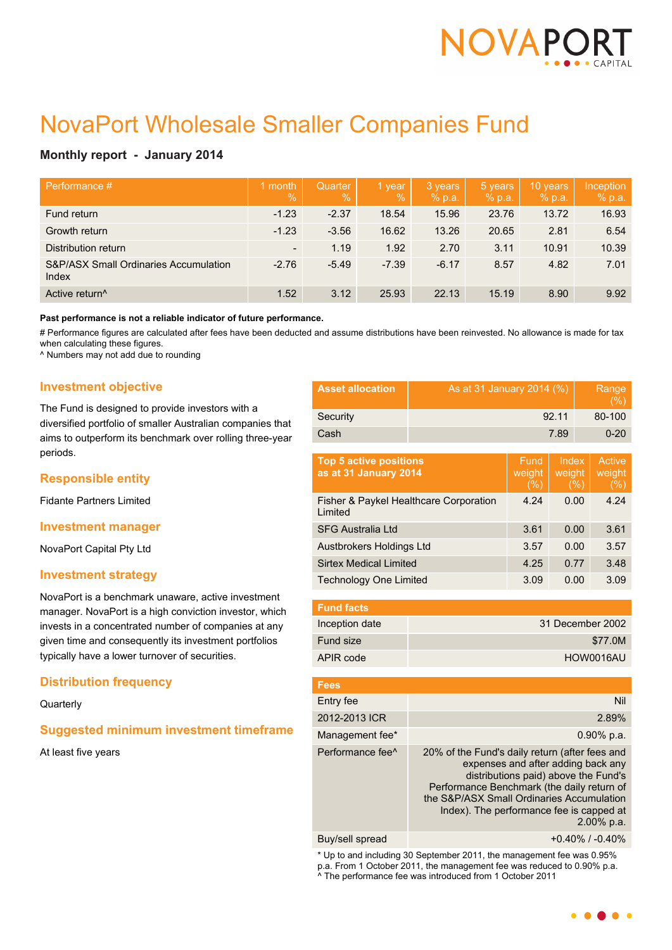

# NovaPort Wholesale Smaller Companies Fund

# **Monthly report - January 2014**

| Performance #                                             | month<br>$\sqrt{2}$      | Quarter<br>$\%$ | 1 year<br>$\%$ | 3 years<br>% p.a. | 5 years<br>% p.a. | 10 years<br>% p.a. | Inception<br>% p.a. |
|-----------------------------------------------------------|--------------------------|-----------------|----------------|-------------------|-------------------|--------------------|---------------------|
| Fund return                                               | $-1.23$                  | $-2.37$         | 18.54          | 15.96             | 23.76             | 13.72              | 16.93               |
| Growth return                                             | $-1.23$                  | $-3.56$         | 16.62          | 13.26             | 20.65             | 2.81               | 6.54                |
| Distribution return                                       | $\overline{\phantom{a}}$ | 1.19            | 1.92           | 2.70              | 3.11              | 10.91              | 10.39               |
| <b>S&amp;P/ASX Small Ordinaries Accumulation</b><br>Index | $-2.76$                  | $-5.49$         | $-7.39$        | $-6.17$           | 8.57              | 4.82               | 7.01                |
| Active return <sup>^</sup>                                | 1.52                     | 3.12            | 25.93          | 22.13             | 15.19             | 8.90               | 9.92                |

#### **Past performance is not a reliable indicator of future performance.**

# Performance figures are calculated after fees have been deducted and assume distributions have been reinvested. No allowance is made for tax when calculating these figures.

^ Numbers may not add due to rounding

## **Investment objective**

The Fund is designed to provide investors with a diversified portfolio of smaller Australian companies that aims to outperform its benchmark over rolling three-year periods.

# **Responsible entity**

Fidante Partners Limited

## **Investment manager**

NovaPort Capital Pty Ltd

## **Investment strategy**

NovaPort is a benchmark unaware, active investment manager. NovaPort is a high conviction investor, which invests in a concentrated number of companies at any given time and consequently its investment portfolios typically have a lower turnover of securities.

# **Distribution frequency**

**Quarterly** 

# **Suggested minimum investment timeframe**

At least five years

| <b>Asset allocation</b> | As at 31 January 2014 (%) | Range<br>(% ) |
|-------------------------|---------------------------|---------------|
| Security                | 92.11                     | 80-100        |
| Cash                    | 7.89                      | $0 - 20$      |

| <b>Top 5 active positions</b><br>as at 31 January 2014 | Fund<br>weight<br>(% ) | Index<br>weight<br>(%) | Active<br>weight<br>(%) |
|--------------------------------------------------------|------------------------|------------------------|-------------------------|
| Fisher & Paykel Healthcare Corporation<br>Limited      | 4.24                   | 0.00                   | 4.24                    |
| <b>SFG Australia Ltd</b>                               | 3.61                   | 0.00                   | 3.61                    |
| Austbrokers Holdings Ltd                               | 3.57                   | 0.00                   | 3.57                    |
| <b>Sirtex Medical Limited</b>                          | 4.25                   | 0.77                   | 3.48                    |
| <b>Technology One Limited</b>                          | 3.09                   | 0.00                   | 3.09                    |

| <b>Fund facts</b> |                  |
|-------------------|------------------|
| Inception date    | 31 December 2002 |
| Fund size         | \$77.0M          |
| APIR code         | HOW0016AU        |

| <b>Fees</b>                  |                                                                                                                                                                                                                                                                                      |
|------------------------------|--------------------------------------------------------------------------------------------------------------------------------------------------------------------------------------------------------------------------------------------------------------------------------------|
| Entry fee                    | Nil                                                                                                                                                                                                                                                                                  |
| 2012-2013 ICR                | 2.89%                                                                                                                                                                                                                                                                                |
| Management fee*              | $0.90\%$ p.a.                                                                                                                                                                                                                                                                        |
| Performance fee <sup>^</sup> | 20% of the Fund's daily return (after fees and<br>expenses and after adding back any<br>distributions paid) above the Fund's<br>Performance Benchmark (the daily return of<br>the S&P/ASX Small Ordinaries Accumulation<br>Index). The performance fee is capped at<br>$2.00\%$ p.a. |
|                              |                                                                                                                                                                                                                                                                                      |

Buy/sell spread +0.40% / -0.40%

\* Up to and including 30 September 2011, the management fee was 0.95% p.a. From 1 October 2011, the management fee was reduced to 0.90% p.a. ^ The performance fee was introduced from 1 October 2011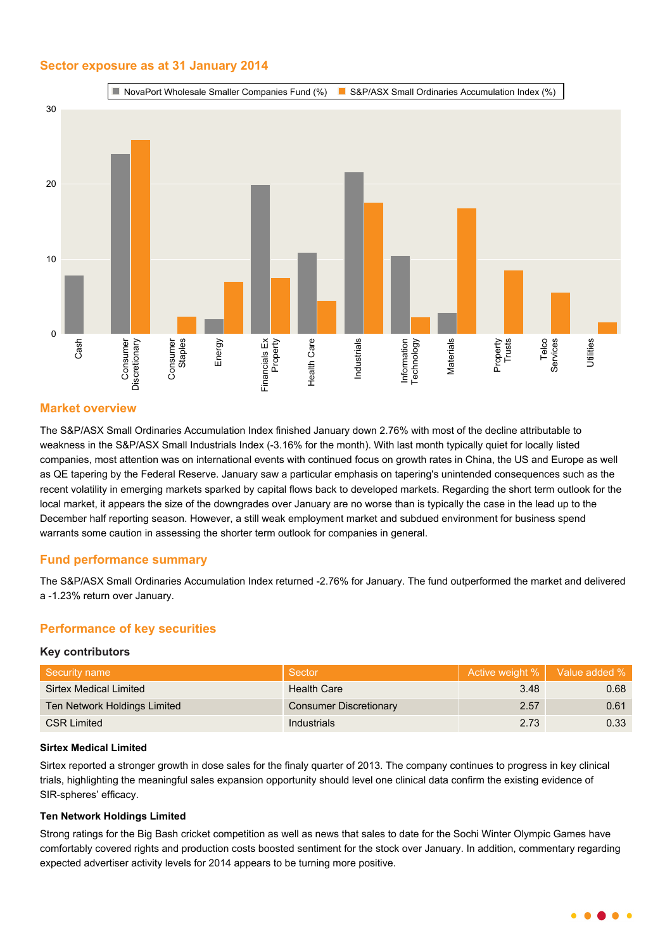# **Sector exposure as at 31 January 2014**



# **Market overview**

The S&P/ASX Small Ordinaries Accumulation Index finished January down 2.76% with most of the decline attributable to weakness in the S&P/ASX Small Industrials Index (-3.16% for the month). With last month typically quiet for locally listed companies, most attention was on international events with continued focus on growth rates in China, the US and Europe as well as QE tapering by the Federal Reserve. January saw a particular emphasis on tapering's unintended consequences such as the recent volatility in emerging markets sparked by capital flows back to developed markets. Regarding the short term outlook for the local market, it appears the size of the downgrades over January are no worse than is typically the case in the lead up to the December half reporting season. However, a still weak employment market and subdued environment for business spend warrants some caution in assessing the shorter term outlook for companies in general.

# **Fund performance summary**

The S&P/ASX Small Ordinaries Accumulation Index returned -2.76% for January. The fund outperformed the market and delivered a -1.23% return over January.

# **Performance of key securities**

## **Key contributors**

| Security name                | Sector                        |      | Active weight %   Value added % |
|------------------------------|-------------------------------|------|---------------------------------|
| Sirtex Medical Limited       | <b>Health Care</b>            | 3.48 | 0.68                            |
| Ten Network Holdings Limited | <b>Consumer Discretionary</b> | 2.57 | 0.61                            |
| <b>CSR Limited</b>           | Industrials                   | 2.73 | 0.33                            |

#### **Sirtex Medical Limited**

Sirtex reported a stronger growth in dose sales for the finaly quarter of 2013. The company continues to progress in key clinical trials, highlighting the meaningful sales expansion opportunity should level one clinical data confirm the existing evidence of SIR-spheres' efficacy.

## **Ten Network Holdings Limited**

Strong ratings for the Big Bash cricket competition as well as news that sales to date for the Sochi Winter Olympic Games have comfortably covered rights and production costs boosted sentiment for the stock over January. In addition, commentary regarding expected advertiser activity levels for 2014 appears to be turning more positive.